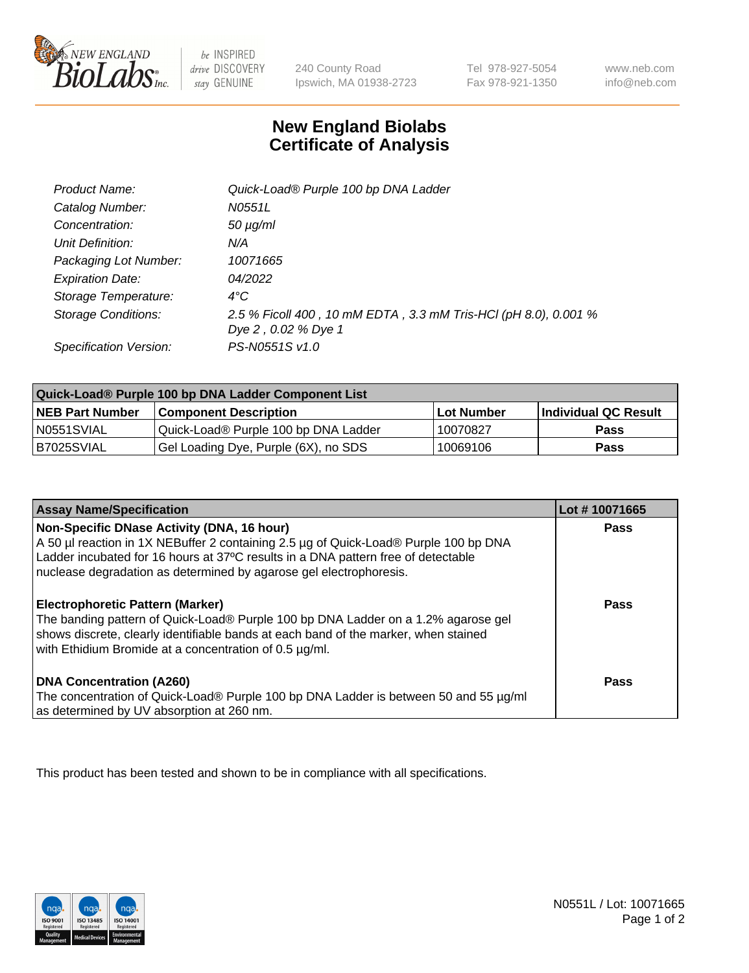

be INSPIRED drive DISCOVERY stay GENUINE

240 County Road Ipswich, MA 01938-2723 Tel 978-927-5054 Fax 978-921-1350

www.neb.com info@neb.com

## **New England Biolabs Certificate of Analysis**

| Product Name:           | Quick-Load® Purple 100 bp DNA Ladder                            |
|-------------------------|-----------------------------------------------------------------|
| Catalog Number:         | N0551L                                                          |
| Concentration:          | $50 \mu g/ml$                                                   |
| Unit Definition:        | N/A                                                             |
| Packaging Lot Number:   | 10071665                                                        |
| <b>Expiration Date:</b> | 04/2022                                                         |
| Storage Temperature:    | $4^{\circ}$ C                                                   |
| Storage Conditions:     | 2.5 % Ficoll 400, 10 mM EDTA, 3.3 mM Tris-HCl (pH 8.0), 0.001 % |
|                         | Dye 2, 0.02 % Dye 1                                             |
| Specification Version:  | PS-N0551S v1.0                                                  |

| Quick-Load® Purple 100 bp DNA Ladder Component List |                                      |                   |                      |  |
|-----------------------------------------------------|--------------------------------------|-------------------|----------------------|--|
| <b>NEB Part Number</b>                              | <b>Component Description</b>         | <b>Lot Number</b> | Individual QC Result |  |
| N0551SVIAL                                          | Quick-Load® Purple 100 bp DNA Ladder | 10070827          | <b>Pass</b>          |  |
| B7025SVIAL                                          | Gel Loading Dye, Purple (6X), no SDS | 10069106          | <b>Pass</b>          |  |

| <b>Assay Name/Specification</b>                                                                                                                                                                                                                                                               | Lot #10071665 |
|-----------------------------------------------------------------------------------------------------------------------------------------------------------------------------------------------------------------------------------------------------------------------------------------------|---------------|
| Non-Specific DNase Activity (DNA, 16 hour)<br>A 50 µl reaction in 1X NEBuffer 2 containing 2.5 µg of Quick-Load® Purple 100 bp DNA<br>Ladder incubated for 16 hours at 37°C results in a DNA pattern free of detectable<br>nuclease degradation as determined by agarose gel electrophoresis. | <b>Pass</b>   |
| <b>Electrophoretic Pattern (Marker)</b><br>The banding pattern of Quick-Load® Purple 100 bp DNA Ladder on a 1.2% agarose gel<br>shows discrete, clearly identifiable bands at each band of the marker, when stained<br>with Ethidium Bromide at a concentration of 0.5 µg/ml.                 | Pass          |
| <b>DNA Concentration (A260)</b><br>The concentration of Quick-Load® Purple 100 bp DNA Ladder is between 50 and 55 µg/ml<br>as determined by UV absorption at 260 nm.                                                                                                                          | Pass          |

This product has been tested and shown to be in compliance with all specifications.